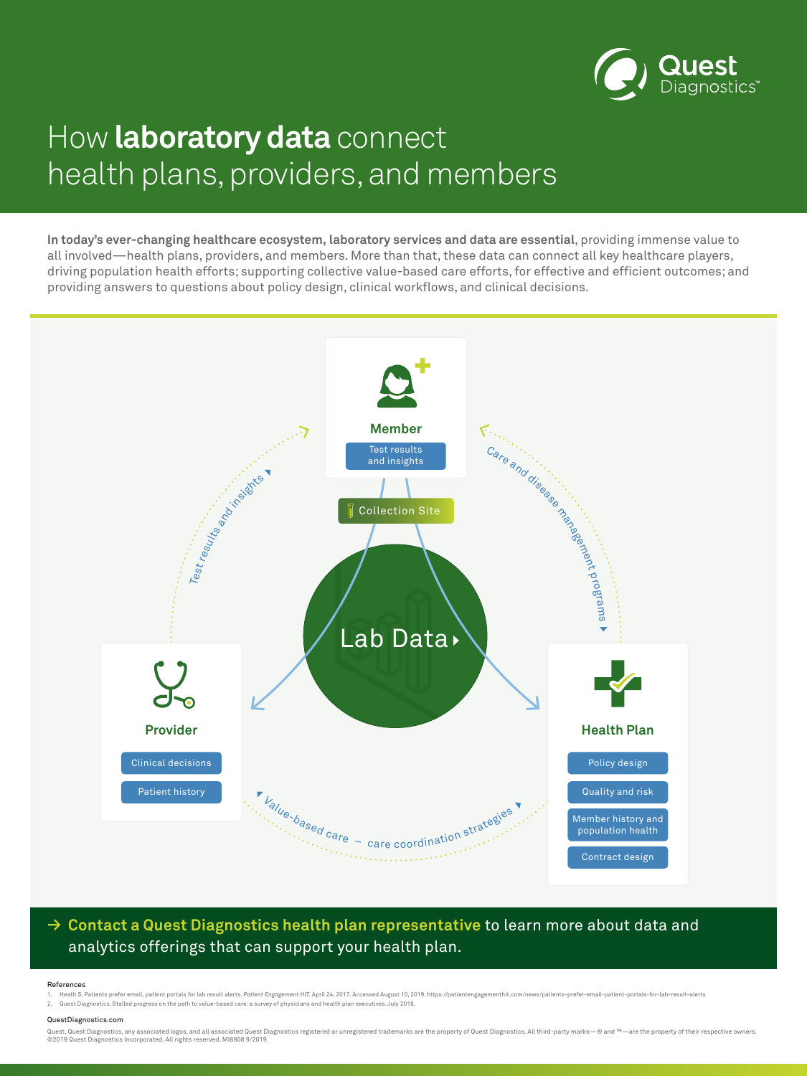

### analytics offerings that can support your health plan.



# How **laboratory data** connect health plans, providers, and members

**In today's ever-changing healthcare ecosystem, laboratory services and data are essential**, providing immense value to all involved—health plans, providers, and members. More than that, these data can connect all key healthcare players, driving population health efforts; supporting collective value-based care efforts, for effective and efficient outcomes; and providing answers to questions about policy design, clinical workflows, and clinical decisions.

Quest, Quest Diagnostics, any associated logos, and all associated Quest Diagnostics registered or unregistered trademarks are the property of Quest Diagnostics. All third-party marks – ® and ™ — are the property of their ©2019 Quest Diagnostics Incorporated. All rights reserved. MI8808 9/2019

#### References

1. Heath S. Patients prefer email, patient portals for lab result alerts. Patient Engagement HIT. April 24, 2017. Accessed August 10, 2019. https://patientengagementhit.com/news/patients-prefer-email-patient-portals-for-la

2. Quest Diagnostics. Stalled progress on the path to value-based care: a survey of physicians and health plan executives. July 2018.

#### QuestDiagnostics.com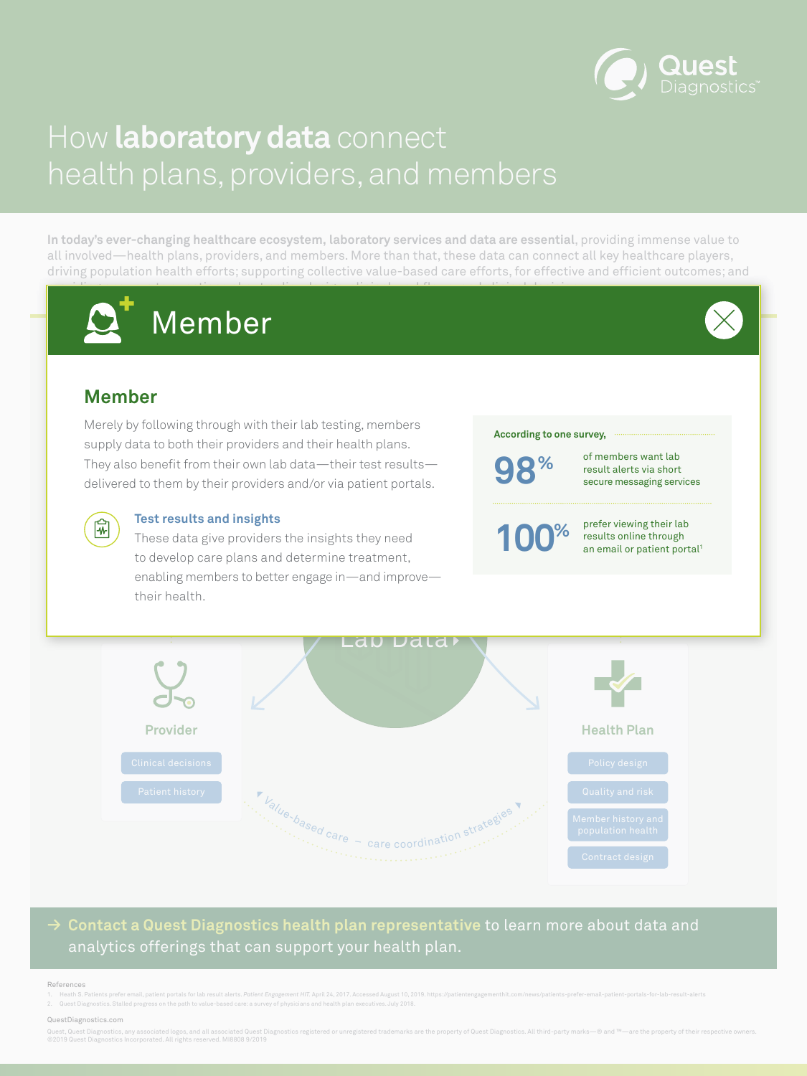

### analytics offerings that can support your health plan.



# <span id="page-1-0"></span>How **laboratory data** connect health plans, providers, and members

**In today's ever-changing healthcare ecosystem, laboratory services and data are essential**, providing immense value to all involved—health plans, providers, and members. More than that, these data can connect all key healthcare players, driving population health efforts; supporting collective value-based care efforts, for effective and efficient outcomes; and providing answers to questions about policy design, clinical workflows, and clinical decisions.

Quest, Quest Diagnostics, any associated logos, and all associated Quest Diagnostics registered or unregistered trademarks are the property of Quest Diagnostics. All third-party marks—® and ™—are the property of their res ©2019 Quest Diagnostics Incorporated. All rights reserved. MI8808 9/2019

#### References

1. Heath S. Patients prefer email, patient portals for lab result alerts. Patient Engagement HIT. April 24, 2017. Accessed August 10, 2019. https://patientengagementhit.com/news/patients-prefer-email-patient-portals-for-la

enabling members to better engage in—and improve give<br>care These data give providers the insights they need to develop care plans and determine treatment, their health.



prefer viewing their lab results online through an email or patient portal<sup>1</sup>

2. Quest Diagnostics. Stalled progress on the path to value-based care: a survey of physicians and health plan executives. July 2018.

#### QuestDiagnostics.com

## **Member**

Merely by following through with their lab testing, members supply data to both their providers and their health plans. They also benefit from their own lab data—their test results—

### **Test results and insights**





#### **According to one survey,**

**100%**

of members want lab result alerts via short

Test results and insights<br>
Test results and insights



secure messaging services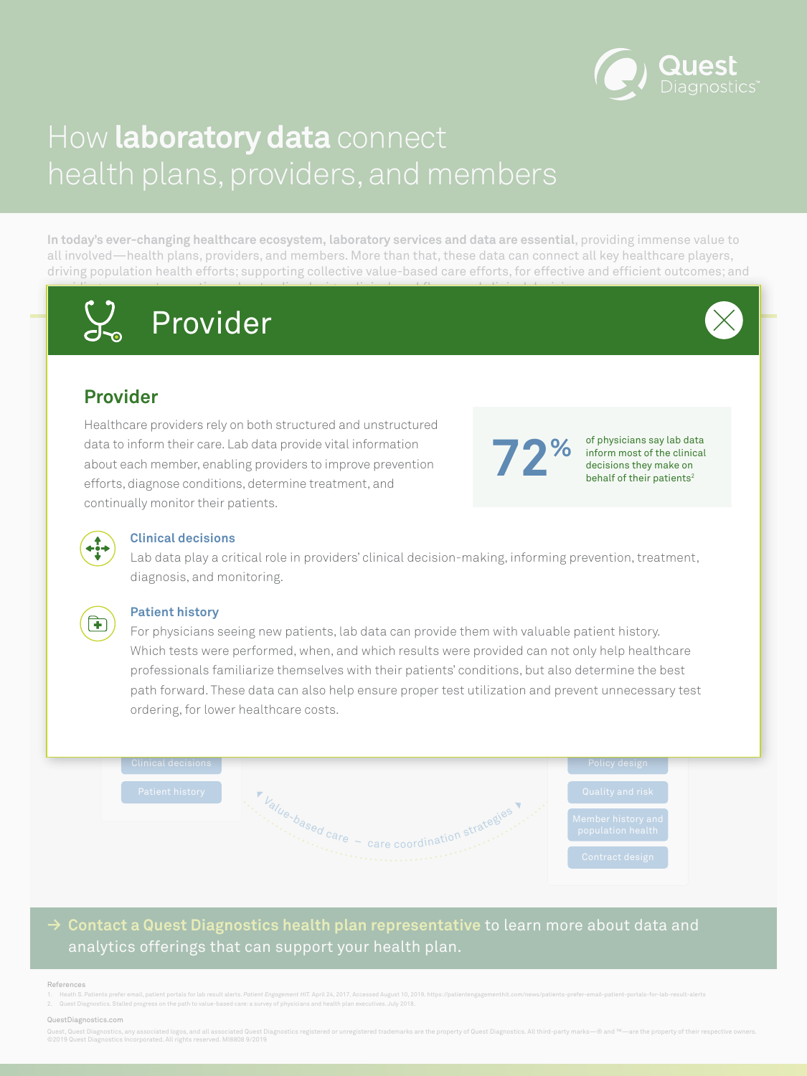

### analytics offerings that can support your health plan.



# <span id="page-2-0"></span>How **laboratory data** connect health plans, providers, and members

**In today's ever-changing healthcare ecosystem, laboratory services and data are essential**, providing immense value to all involved—health plans, providers, and members. More than that, these data can connect all key healthcare players, driving population health efforts; supporting collective value-based care efforts, for effective and efficient outcomes; and providing answers to questions about policy design, clinical workflows, and clinical decisions.

Quest, Quest Diagnostics, any associated logos, and all associated Quest Diagnostics registered or unregistered trademarks are the property of Quest Diagnostics. All third-party marks—® and ™—are the property of their res ©2019 Quest Diagnostics Incorporated. All rights reserved. MI8808 9/2019

ions, det<br>ir patien<br> efforts, diagnose conditions, determine treatment, and continually monitor their patients.

behalf of their patients<sup>2</sup>



#### References

1. Heath S. Patients prefer email, patient portals for lab result alerts. Patient Engagement HIT. April 24, 2017. Accessed August 10, 2019. https://patientengagementhit.com/news/patients-prefer-email-patient-portals-for-la

For physicians seeing new patients, lab data can provide them with valuable patient history.<br>Which tests were performed, when, and which results were provided can not only help health Which tests were performed, when, and which results were provided can not only help healthcare professionals familiarize themselves with their patients' conditions, but also determine the best path forward. These data can also help ensure proper test utilization and prevent unnecessary test ordering, for lower healthcare costs.

2. Quest Diagnostics. Stalled progress on the path to value-based care: a survey of physicians and health plan executives. July 2018.



#### QuestDiagnostics.com

## **Provider**

Healthcare providers rely on both structured and unstructured data to inform their care. Lab data provide vital information about each member, enabling providers to improve prevention

### **Clinical decisions**

diagnosis, and monitoring. <mark>Clinical decisions</mark><br>Lab data play a critical role in providers' clinical decision-making, informing prevention, treatment,



### **Patient history**





of physicians say lab data inform most of the clinical decisions they make on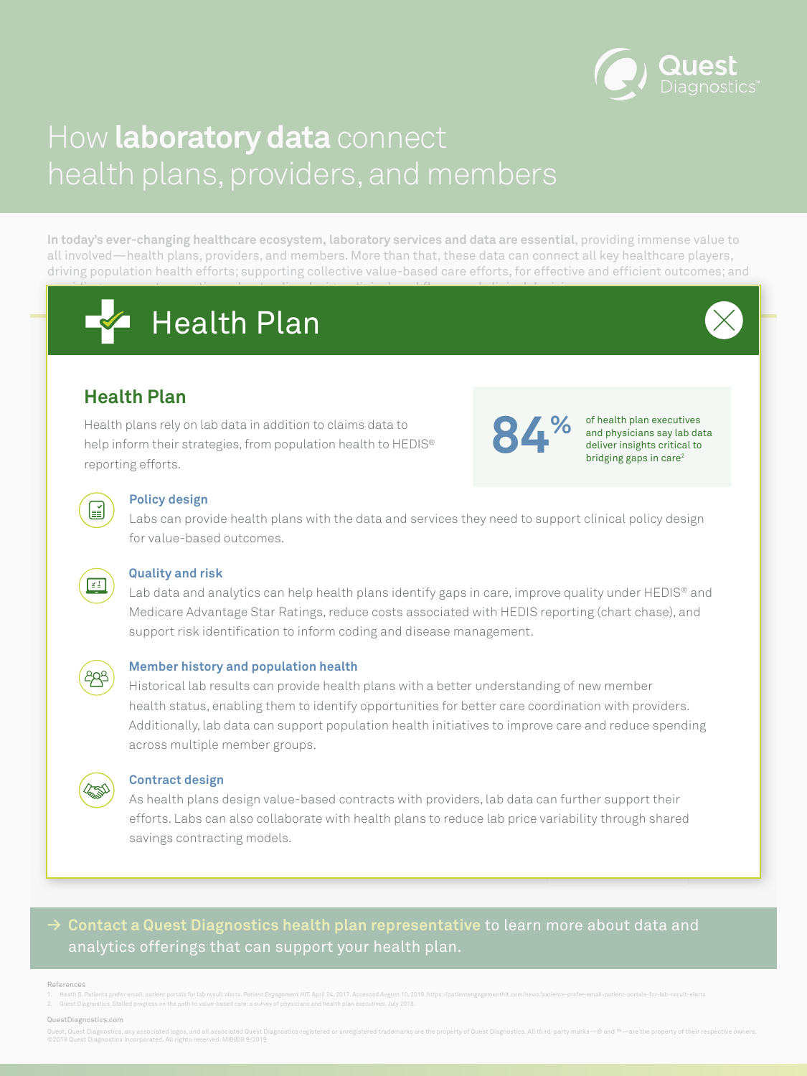## **→ Contact a Quest Diagnostics health plan representative** to learn more about data and analytics offerings that can support your health plan.



# <span id="page-3-0"></span>How **laboratory data** connect health plans, providers, and members

**In today's ever-changing healthcare ecosystem, laboratory services and data are essential**, providing immense value to all involved—health plans, providers, and members. More than that, these data can connect all key healthcare players, driving population health efforts; supporting collective value-based care efforts, for effective and efficient outcomes; and providing answers to questions about policy design, clinical workflows, and clinical decisions.

Quest, Quest Diagnostics, any associated logos, and all associated Quest Diagnostics registered or unregistered trademarks are the property of Quest Diagnostics. All third-party marks—® and ™—are the property of their res ©2019 Quest Diagnostics Incorporated. All rights reserved. MI8808 9/2019

**Member** Health plans rely on lab data in addition to claims data to help inform their strategies, from population health to HEDIS® reporting efforts.

#### References

1. Heath S. Patients prefer email, patient portals for lab result alerts. Patient Engagement HIT. April 24, 2017. Accessed August 10, 2019. https://patientengagementhit.com/news/patients-prefer-email-patient-portals-for-la

order and the support client<br>of the support client of the support client<br>of the support client of the support client of the support of the support of the support of the sum of the support of the sum of the sum of the sum o sed le health<br>le health Collection Site Labs can provide health plans with the data and services they need to support clinical policy design for value-based outcomes.

#### d r **Quality and risk**

ity. (  $\epsilon$ Medicare Advantage Star Ratings, reduce costs associated with HEDIS reporting (chart chase), and support risk identification to inform coding and disease management.<br> Lab data and analytics can help health plans identify gaps in care, improve quality under HEDIS® and



2. Quest Diagnostics. Stalled progress on the path to value-based care: a survey of physicians and health plan executives. July 2018.

ditionally, tab data can support population health initiatives to improve care and reduce ( Historical lab results can provide health plans with a better understanding of new member health status, enabling them to identify opportunities for better care coordination with providers. Additionally, lab data can support population health initiatives to improve care and reduce spending across multiple member groups.



#### QuestDiagnostics.com

value-based con<sup>.</sup><br>ollaborate with h<br>dels. health plans to reduce lab p<br> Quality and risk Patient history efforts. Labs can also collaborate with health plans to reduce lab price variability through shared As health plans design value-based contracts with providers, lab data can further support their savings contracting models.

## **Health Plan**

### **Policy design**

### **Member history and population health**

### **Contract design**





of health plan executives and physicians say lab data deliver insights critical to bridging gaps in care 2



 $\left[\frac{\checkmark}{\checkmark}\right]$ 

**84 %**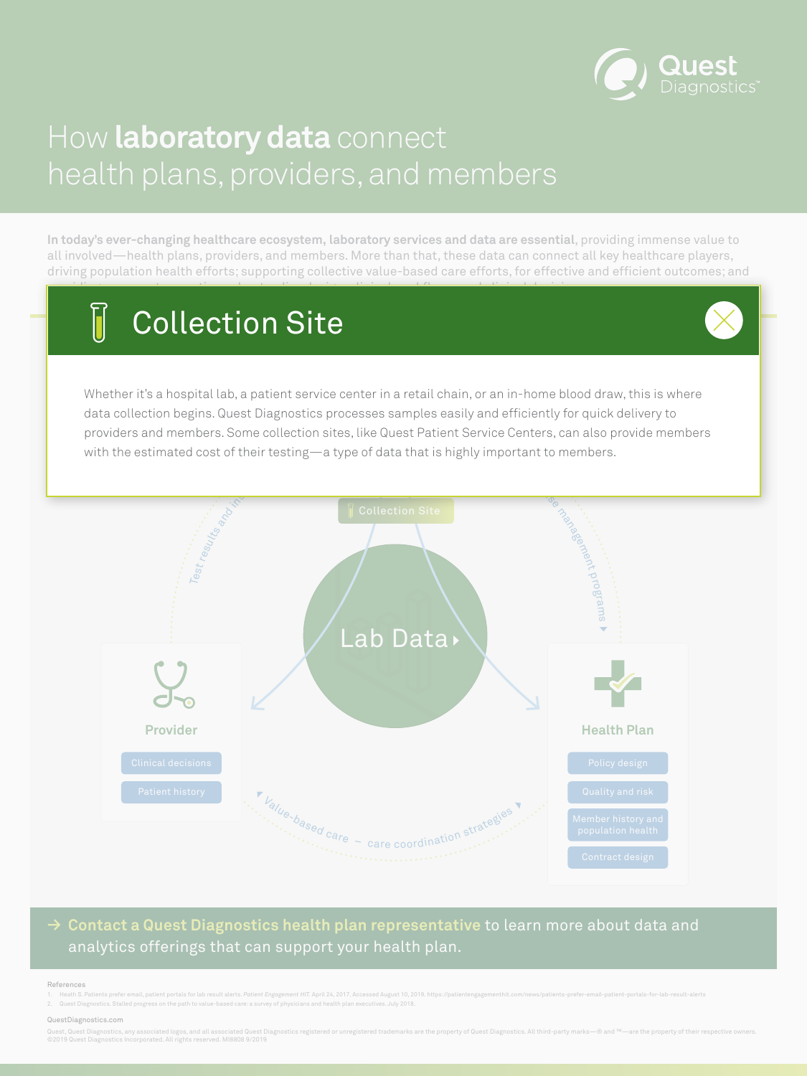

### analytics offerings that can support your health plan.



# <span id="page-4-0"></span>How **laboratory data** connect health plans, providers, and members

**In today's ever-changing healthcare ecosystem, laboratory services and data are essential**, providing immense value to all involved—health plans, providers, and members. More than that, these data can connect all key healthcare players, driving population health efforts; supporting collective value-based care efforts, for effective and efficient outcomes; and providing answers to questions about policy design, clinical workflows, and clinical decisions.

Quest, Quest Diagnostics, any associated logos, and all associated Quest Diagnostics registered or unregistered trademarks are the property of Quest Diagnostics. All third-party marks –® and ™—are the property of their re ©2019 Quest Diagnostics Incorporated. All rights reserved. MI8808 9/2019

#### References

1. Heath S. Patients prefer email, patient portals for lab result alerts. Patient Engagement HIT. April 24, 2017. Accessed August 10, 2019. https://patientengagementhit.com/news/patients-prefer-email-patient-portals-for-la

**Member** providers and members. Some collection sites, like Quest Patient Service Centers, can also provide members  $f$ data tha Whether it's a hospital lab, a patient service center in a retail chain, or an in-home blood draw, this is where data collection begins. Quest Diagnostics processes samples easily and efficiently for quick delivery to with the estimated cost of their testing—a type of data that is highly important to members.

2. Quest Diagnostics. Stalled progress on the path to value-based care: a survey of physicians and health plan executives. July 2018.

#### QuestDiagnostics.com

# Collection Site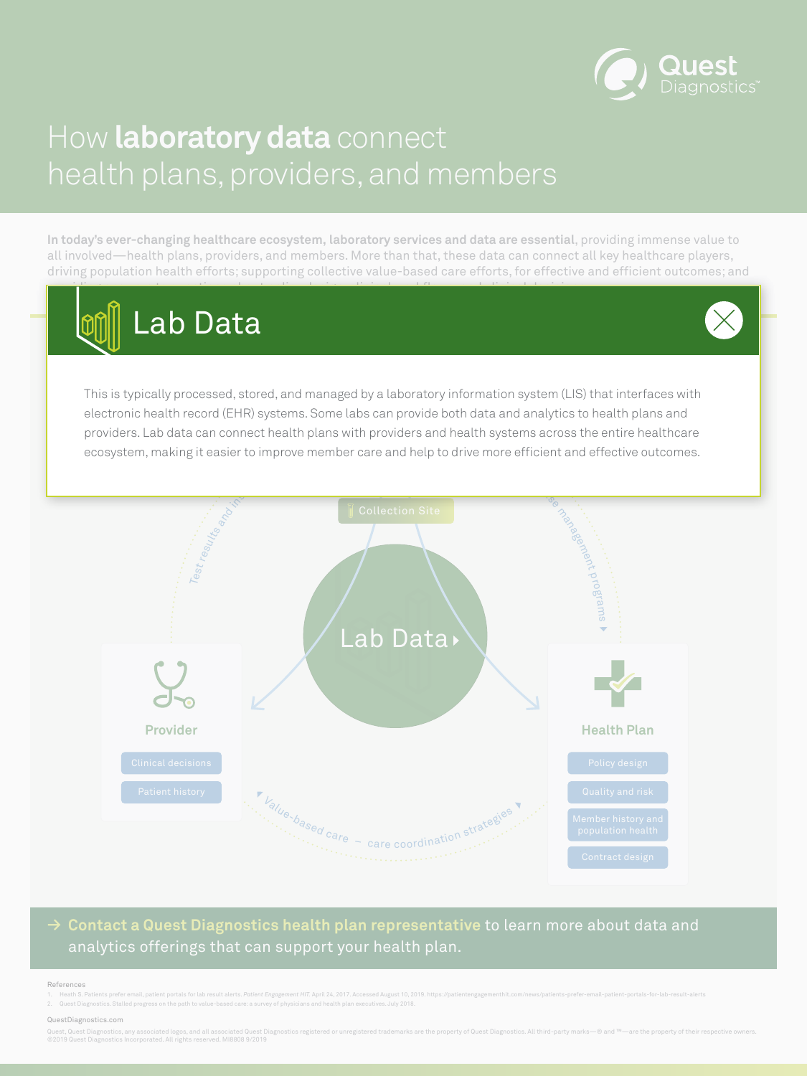

### analytics offerings that can support your health plan.



# <span id="page-5-0"></span>How **laboratory data** connect health plans, providers, and members

**In today's ever-changing healthcare ecosystem, laboratory services and data are essential**, providing immense value to all involved—health plans, providers, and members. More than that, these data can connect all key healthcare players, driving population health efforts; supporting collective value-based care efforts, for effective and efficient outcomes; and providing answers to questions about policy design, clinical workflows, and clinical decisions.

Quest, Quest Diagnostics, any associated logos, and all associated Quest Diagnostics registered or unregistered trademarks are the property of Quest Diagnostics. All third-party marks—® and ™—are the property of their res ©2019 Quest Diagnostics Incorporated. All rights reserved. MI8808 9/2019

#### References

1. Heath S. Patients prefer email, patient portals for lab result alerts. Patient Engagement HIT. April 24, 2017. Accessed August 10, 2019. https://patientengagementhit.com/news/patients-prefer-email-patient-portals-for-la

providers. Lab data can connect health plans with providers and health systems across the entire healthcare Ire and he This is typically processed, stored, and managed by a laboratory information system (LIS) that interfaces with electronic health record (EHR) systems. Some labs can provide both data and analytics to health plans and ecosystem, making it easier to improve member care and help to drive more efficient and effective outcomes.

2. Quest Diagnostics. Stalled progress on the path to value-based care: a survey of physicians and health plan executives. July 2018.

#### QuestDiagnostics.com



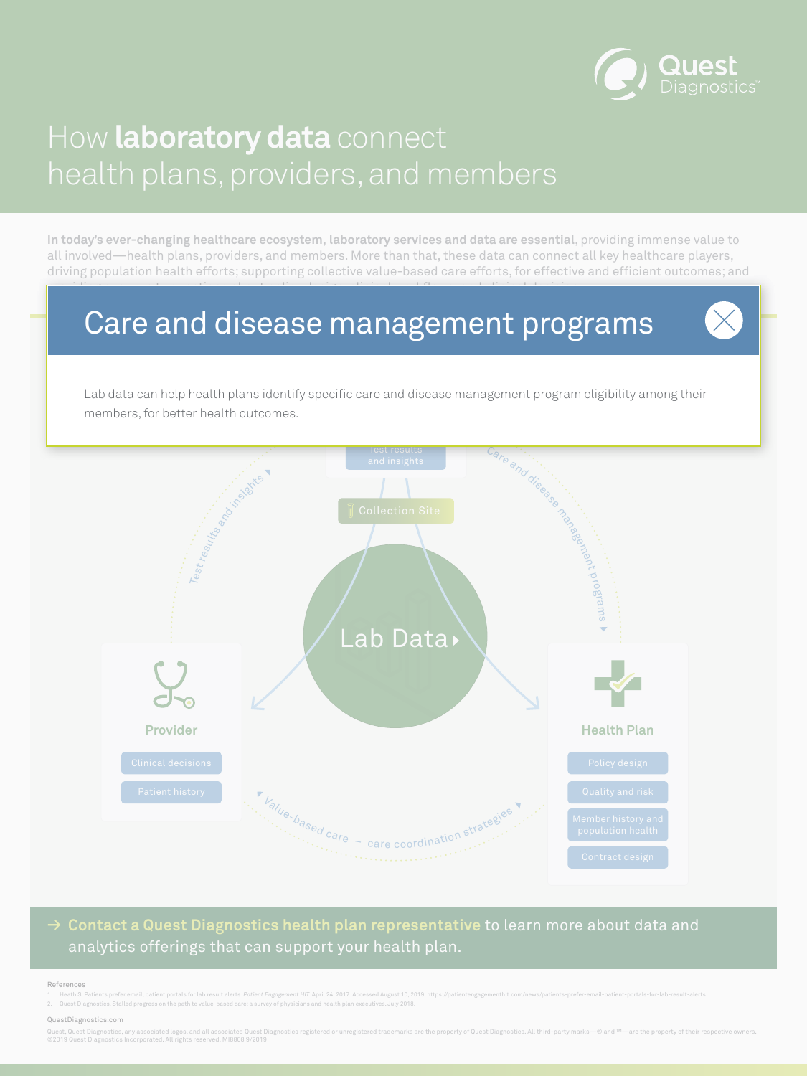

and insights

est results

**→ Contact a Quest Diagnostics health plan representative** to learn more about data and

### analytics offerings that can support your health plan.



# <span id="page-6-0"></span>How **laboratory data** connect health plans, providers, and members

**In today's ever-changing healthcare ecosystem, laboratory services and data are essential**, providing immense value to all involved—health plans, providers, and members. More than that, these data can connect all key healthcare players, driving population health efforts; supporting collective value-based care efforts, for effective and efficient outcomes; and providing answers to questions about policy design, clinical workflows, and clinical decisions.

Quest, Quest Diagnostics, any associated logos, and all associated Quest Diagnostics registered or unregistered trademarks are the property of Quest Diagnostics. All third-party marks—® and ™—are the property of their res ©2019 Quest Diagnostics Incorporated. All rights reserved. MI8808 9/2019

#### References

1. Heath S. Patients prefer email, patient portals for lab result alerts. Patient Engagement HIT. April 24, 2017. Accessed August 10, 2019. https://patientengagementhit.com/news/patients-prefer-email-patient-portals-for-la

2. Quest Diagnostics. Stalled progress on the path to value-based care: a survey of physicians and health plan executives. July 2018.

#### QuestDiagnostics.com

Lab data can help health plans identify specific care and disease management program eligibility among their members, for better health outcomes.

# Care and disease management programs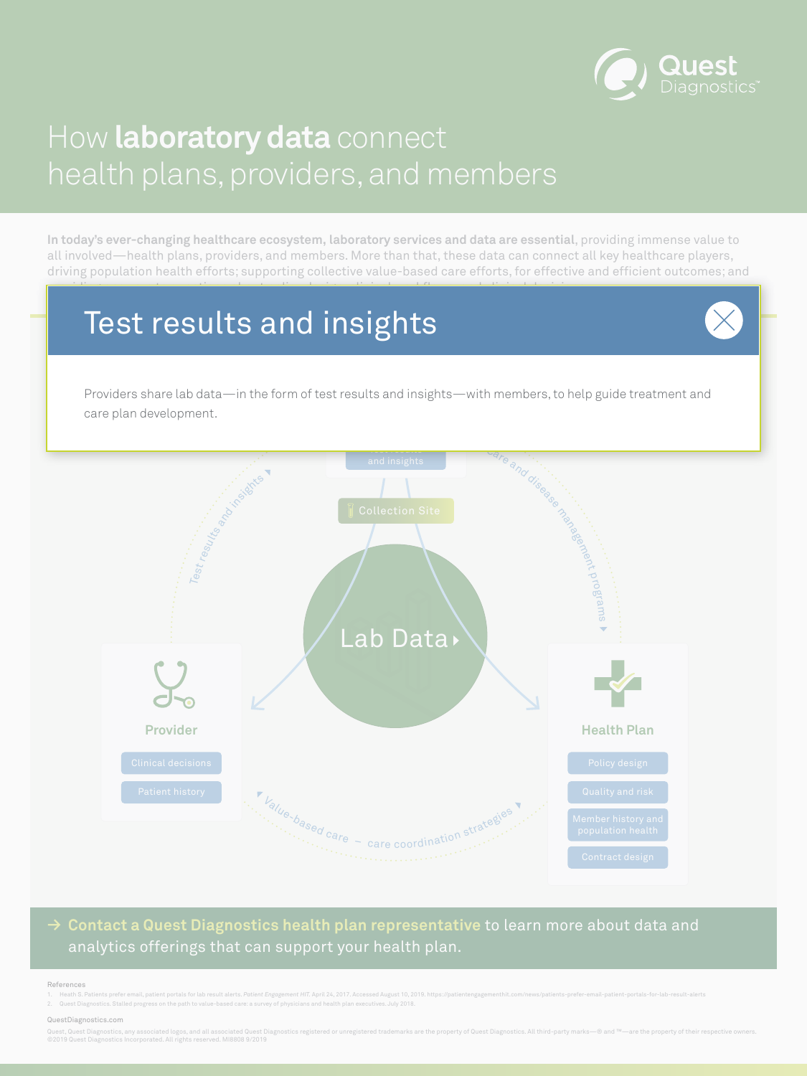Test results



and insights

**→ Contact a Quest Diagnostics health plan representative** to learn more about data and

### analytics offerings that can support your health plan.



# <span id="page-7-0"></span>How **laboratory data** connect health plans, providers, and members

**In today's ever-changing healthcare ecosystem, laboratory services and data are essential**, providing immense value to all involved—health plans, providers, and members. More than that, these data can connect all key healthcare players, driving population health efforts; supporting collective value-based care efforts, for effective and efficient outcomes; and providing answers to questions about policy design, clinical workflows, and clinical decisions.

Quest, Quest Diagnostics, any associated logos, and all associated Quest Diagnostics registered or unregistered trademarks are the property of Quest Diagnostics. All third-party marks –® and ™—are the property of their re ©2019 Quest Diagnostics Incorporated. All rights reserved. MI8808 9/2019

#### References

1. Heath S. Patients prefer email, patient portals for lab result alerts. Patient Engagement HIT. April 24, 2017. Accessed August 10, 2019. https://patientengagementhit.com/news/patients-prefer-email-patient-portals-for-la

2. Quest Diagnostics. Stalled progress on the path to value-based care: a survey of physicians and health plan executives. July 2018.

#### QuestDiagnostics.com

Providers share lab data—in the form of test results and insights—with members, to help guide treatment and care plan development.

# Test results and insights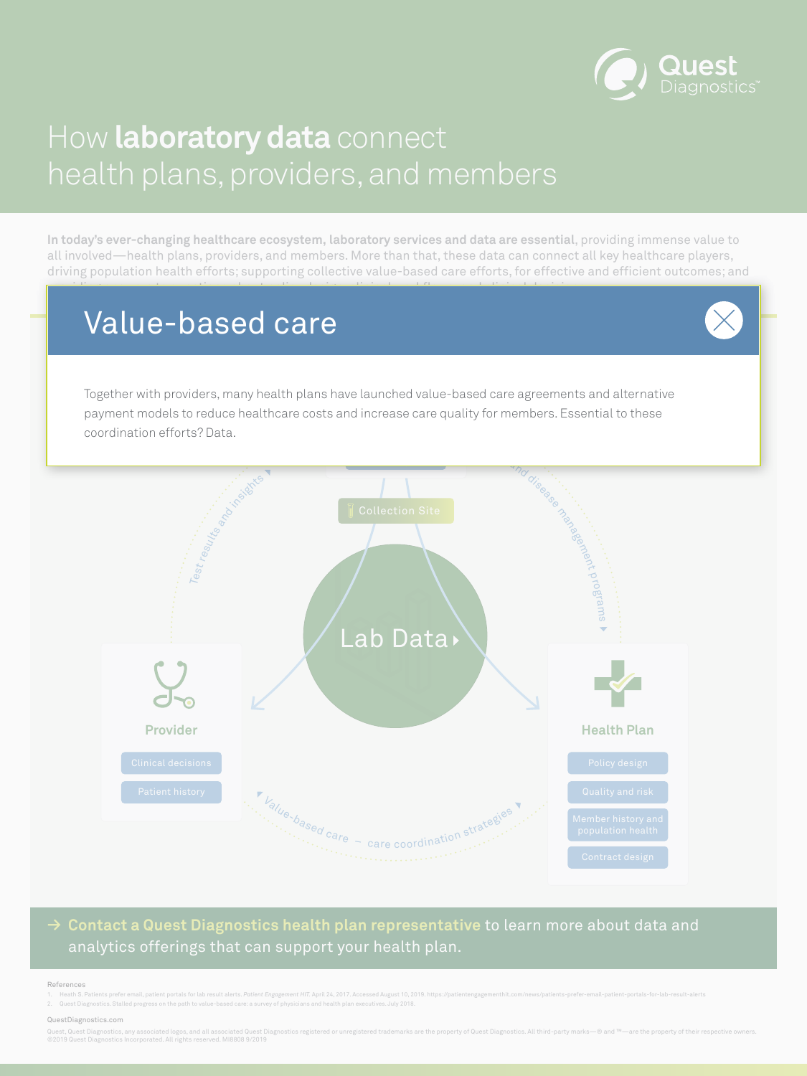

### analytics offerings that can support your health plan.



# <span id="page-8-0"></span>How **laboratory data** connect health plans, providers, and members

**In today's ever-changing healthcare ecosystem, laboratory services and data are essential**, providing immense value to all involved—health plans, providers, and members. More than that, these data can connect all key healthcare players, driving population health efforts; supporting collective value-based care efforts, for effective and efficient outcomes; and providing answers to questions about policy design, clinical workflows, and clinical decisions.

Quest, Quest Diagnostics, any associated logos, and all associated Quest Diagnostics registered or unregistered trademarks are the property of Quest Diagnostics. All third-party marks –® and ™—are the property of their re ©2019 Quest Diagnostics Incorporated. All rights reserved. MI8808 9/2019

#### References

1. Heath S. Patients prefer email, patient portals for lab result alerts. Patient Engagement HIT. April 24, 2017. Accessed August 10, 2019. https://patientengagementhit.com/news/patients-prefer-email-patient-portals-for-la

2. Quest Diagnostics. Stalled progress on the path to value-based care: a survey of physicians and health plan executives. July 2018.

#### QuestDiagnostics.com

Together with providers, many health plans have launched value-based care agreements and alternative payment models to reduce healthcare costs and increase care quality for members. Essential to these coordination efforts? Data.

# Value-based care